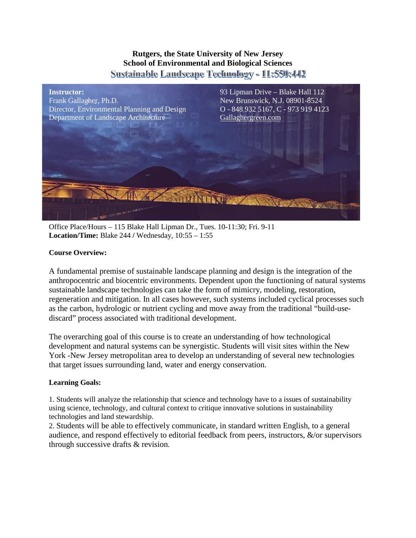# **Rutgers, the State University of New Jersey School of Environmental and Biological Sciences** Sustainable Landscape Technology - 11:550:442



Office Place/Hours – 115 Blake Hall Lipman Dr., Tues. 10-11:30; Fri. 9-11 **Location/Time:** Blake 244 **/** Wednesday, 10:55 – 1:55

# **Course Overview:**

A fundamental premise of sustainable landscape planning and design is the integration of the anthropocentric and biocentric environments. Dependent upon the functioning of natural systems sustainable landscape technologies can take the form of mimicry, modeling, restoration, regeneration and mitigation. In all cases however, such systems included cyclical processes such as the carbon, hydrologic or nutrient cycling and move away from the traditional "build-usediscard" process associated with traditional development.

The overarching goal of this course is to create an understanding of how technological development and natural systems can be synergistic. Students will visit sites within the New York -New Jersey metropolitan area to develop an understanding of several new technologies that target issues surrounding land, water and energy conservation.

# **Learning Goals:**

1. Students will analyze the relationship that science and technology have to a issues of sustainability using science, technology, and cultural context to critique innovative solutions in sustainability technologies and land stewardship.

2. Students will be able to effectively communicate, in standard written English, to a general audience, and respond effectively to editorial feedback from peers, instructors, &/or supervisors through successive drafts & revision.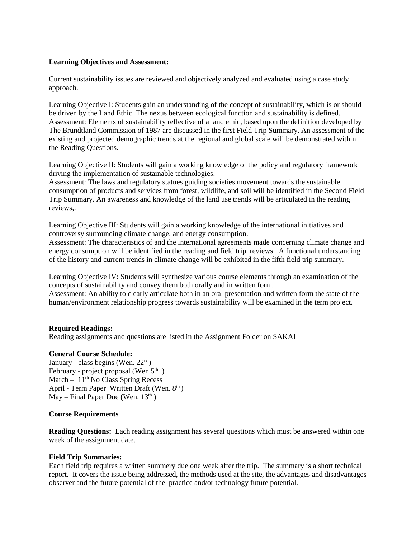## **Learning Objectives and Assessment:**

Current sustainability issues are reviewed and objectively analyzed and evaluated using a case study approach.

Learning Objective I: Students gain an understanding of the concept of sustainability, which is or should be driven by the Land Ethic. The nexus between ecological function and sustainability is defined. Assessment: Elements of sustainability reflective of a land ethic, based upon the definition developed by The Brundtland Commission of 1987 are discussed in the first Field Trip Summary. An assessment of the existing and projected demographic trends at the regional and global scale will be demonstrated within the Reading Questions.

Learning Objective II: Students will gain a working knowledge of the policy and regulatory framework driving the implementation of sustainable technologies.

Assessment: The laws and regulatory statues guiding societies movement towards the sustainable consumption of products and services from forest, wildlife, and soil will be identified in the Second Field Trip Summary. An awareness and knowledge of the land use trends will be articulated in the reading reviews,.

Learning Objective III: Students will gain a working knowledge of the international initiatives and controversy surrounding climate change, and energy consumption.

Assessment: The characteristics of and the international agreements made concerning climate change and energy consumption will be identified in the reading and field trip reviews. A functional understanding of the history and current trends in climate change will be exhibited in the fifth field trip summary.

Learning Objective IV: Students will synthesize various course elements through an examination of the concepts of sustainability and convey them both orally and in written form.

Assessment: An ability to clearly articulate both in an oral presentation and written form the state of the human/environment relationship progress towards sustainability will be examined in the term project.

### **Required Readings:**

Reading assignments and questions are listed in the Assignment Folder on SAKAI

### **General Course Schedule:**

January - class begins (Wen.  $22<sup>nd</sup>$ ) February - project proposal (Wen.5<sup>th</sup>) March –  $11<sup>th</sup>$  No Class Spring Recess April - Term Paper Written Draft (Wen. 8<sup>th</sup>) May – Final Paper Due (Wen.  $13<sup>th</sup>$ )

### **Course Requirements**

**Reading Questions:** Each reading assignment has several questions which must be answered within one week of the assignment date.

### **Field Trip Summaries:**

Each field trip requires a written summery due one week after the trip. The summary is a short technical report. It covers the issue being addressed, the methods used at the site, the advantages and disadvantages observer and the future potential of the practice and/or technology future potential.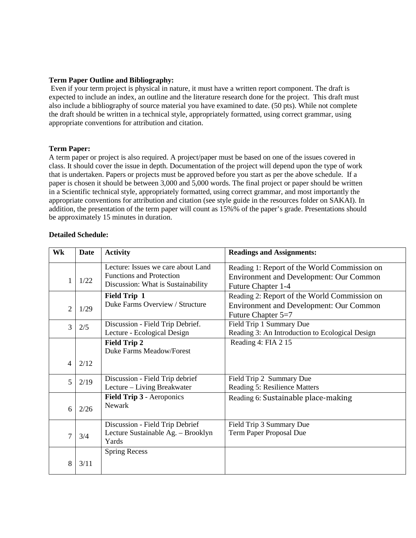# **Term Paper Outline and Bibliography:**

Even if your term project is physical in nature, it must have a written report component. The draft is expected to include an index, an outline and the literature research done for the project. This draft must also include a bibliography of source material you have examined to date. (50 pts). While not complete the draft should be written in a technical style, appropriately formatted, using correct grammar, using appropriate conventions for attribution and citation.

## **Term Paper:**

A term paper or project is also required. A project/paper must be based on one of the issues covered in class. It should cover the issue in depth. Documentation of the project will depend upon the type of work that is undertaken. Papers or projects must be approved before you start as per the above schedule. If a paper is chosen it should be between 3,000 and 5,000 words. The final project or paper should be written in a Scientific technical style, appropriately formatted, using correct grammar, and most importantly the appropriate conventions for attribution and citation (see style guide in the resources folder on SAKAI). In addition, the presentation of the term paper will count as 15%% of the paper's grade. Presentations should be approximately 15 minutes in duration.

# **Detailed Schedule:**

| Wk             | <b>Date</b> | <b>Activity</b>                                                                                             | <b>Readings and Assignments:</b>                                                                                     |  |  |
|----------------|-------------|-------------------------------------------------------------------------------------------------------------|----------------------------------------------------------------------------------------------------------------------|--|--|
| 1              | 1/22        | Lecture: Issues we care about Land<br><b>Functions and Protection</b><br>Discussion: What is Sustainability | Reading 1: Report of the World Commission on<br><b>Environment and Development: Our Common</b><br>Future Chapter 1-4 |  |  |
| $\overline{2}$ | 1/29        | <b>Field Trip 1</b><br>Duke Farms Overview / Structure                                                      | Reading 2: Report of the World Commission on<br><b>Environment and Development: Our Common</b><br>Future Chapter 5=7 |  |  |
| 3              | 2/5         | Discussion - Field Trip Debrief.<br>Lecture - Ecological Design                                             | Field Trip 1 Summary Due<br>Reading 3: An Introduction to Ecological Design                                          |  |  |
|                |             | <b>Field Trip 2</b><br><b>Duke Farms Meadow/Forest</b>                                                      | Reading 4: FIA 2 15                                                                                                  |  |  |
| 4              | 2/12        |                                                                                                             |                                                                                                                      |  |  |
| 5              | 2/19        | Discussion - Field Trip debrief<br>Lecture – Living Breakwater                                              | Field Trip 2 Summary Due<br>Reading 5: Resilience Matters                                                            |  |  |
| 6              | 2/26        | Field Trip 3 - Aeroponics<br>Newark                                                                         | Reading 6: Sustainable place-making                                                                                  |  |  |
| $\overline{7}$ | 3/4         | Discussion - Field Trip Debrief<br>Lecture Sustainable Ag. - Brooklyn<br>Yards                              | Field Trip 3 Summary Due<br>Term Paper Proposal Due                                                                  |  |  |
| 8              | 3/11        | <b>Spring Recess</b>                                                                                        |                                                                                                                      |  |  |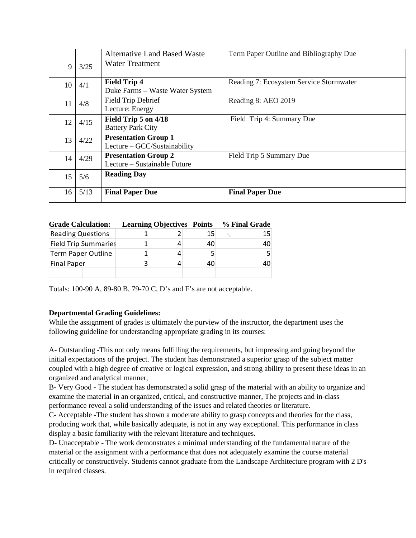| 9  | 3/25 | <b>Alternative Land Based Waste</b><br>Water Treatment      | Term Paper Outline and Bibliography Due |  |  |
|----|------|-------------------------------------------------------------|-----------------------------------------|--|--|
| 10 | 4/1  | <b>Field Trip 4</b><br>Duke Farms – Waste Water System      | Reading 7: Ecosystem Service Stormwater |  |  |
| 11 | 4/8  | Field Trip Debrief<br>Lecture: Energy                       | Reading 8: AEO 2019                     |  |  |
| 12 | 4/15 | Field Trip 5 on 4/18<br><b>Battery Park City</b>            | Field Trip 4: Summary Due               |  |  |
| 13 | 4/22 | <b>Presentation Group 1</b><br>Lecture – GCC/Sustainability |                                         |  |  |
| 14 | 4/29 | <b>Presentation Group 2</b><br>Lecture – Sustainable Future | Field Trip 5 Summary Due                |  |  |
| 15 | 5/6  | <b>Reading Day</b>                                          |                                         |  |  |
| 16 | 5/13 | <b>Final Paper Due</b>                                      | <b>Final Paper Due</b>                  |  |  |

| <b>Grade Calculation:</b>   | <b>Learning Objectives Points</b> |  |    | % Final Grade |
|-----------------------------|-----------------------------------|--|----|---------------|
| <b>Reading Questions</b>    |                                   |  | 15 | 15            |
| <b>Field Trip Summaries</b> |                                   |  | 40 | 40            |
| <b>Term Paper Outline</b>   | 1                                 |  |    |               |
| <b>Final Paper</b>          | 3                                 |  | 40 | 40            |
|                             |                                   |  |    |               |

Totals: 100-90 A, 89-80 B, 79-70 C, D's and F's are not acceptable.

# **Departmental Grading Guidelines:**

While the assignment of grades is ultimately the purview of the instructor, the department uses the following guideline for understanding appropriate grading in its courses:

A- Outstanding -This not only means fulfilling the requirements, but impressing and going beyond the initial expectations of the project. The student has demonstrated a superior grasp of the subject matter coupled with a high degree of creative or logical expression, and strong ability to present these ideas in an organized and analytical manner,

B- Very Good - The student has demonstrated a solid grasp of the material with an ability to organize and examine the material in an organized, critical, and constructive manner, The projects and in-class performance reveal a solid understanding of the issues and related theories or literature.

C- Acceptable -The student has shown a moderate ability to grasp concepts and theories for the class, producing work that, while basically adequate, is not in any way exceptional. This performance in class display a basic familiarity with the relevant literature and techniques.

D- Unacceptable - The work demonstrates a minimal understanding of the fundamental nature of the material or the assignment with a performance that does not adequately examine the course material critically or constructively. Students cannot graduate from the Landscape Architecture program with 2 D's in required classes.